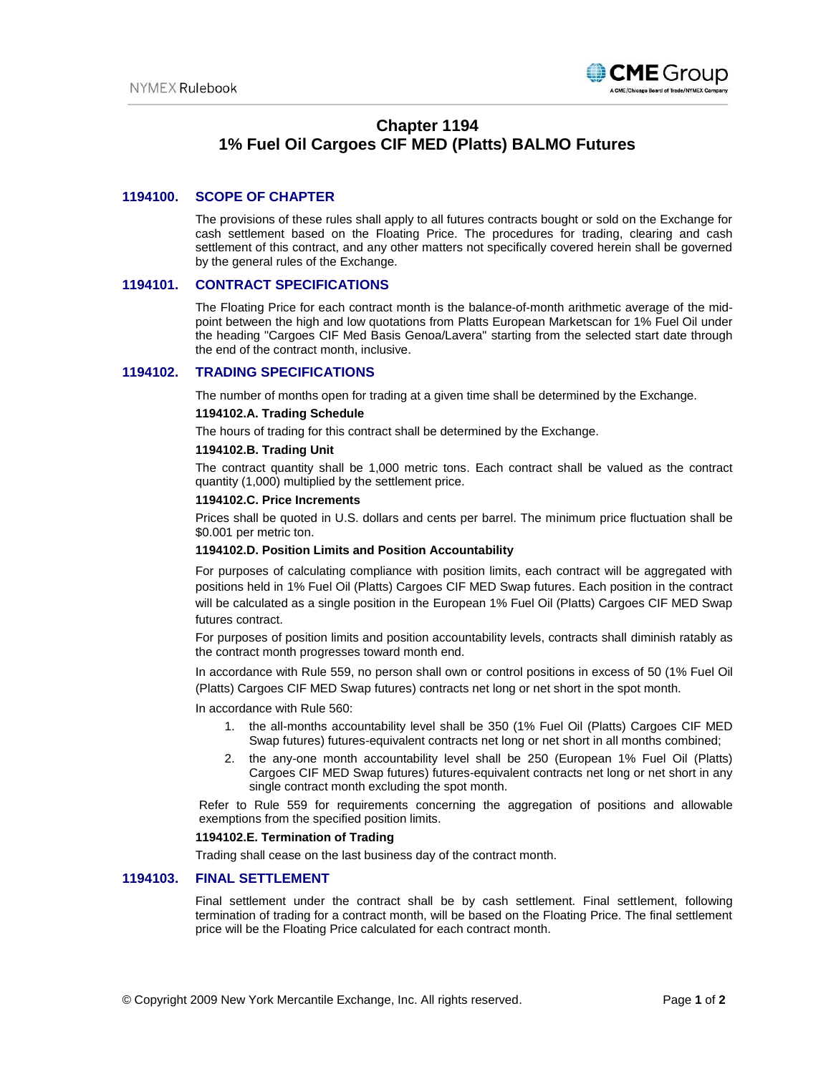

## **Chapter 1194 1% Fuel Oil Cargoes CIF MED (Platts) BALMO Futures**

## **1194100. SCOPE OF CHAPTER**

The provisions of these rules shall apply to all futures contracts bought or sold on the Exchange for cash settlement based on the Floating Price. The procedures for trading, clearing and cash settlement of this contract, and any other matters not specifically covered herein shall be governed by the general rules of the Exchange.

### **1194101. CONTRACT SPECIFICATIONS**

The Floating Price for each contract month is the balance-of-month arithmetic average of the midpoint between the high and low quotations from Platts European Marketscan for 1% Fuel Oil under the heading "Cargoes CIF Med Basis Genoa/Lavera" starting from the selected start date through the end of the contract month, inclusive.

### **1194102. TRADING SPECIFICATIONS**

The number of months open for trading at a given time shall be determined by the Exchange.

#### **1194102.A. Trading Schedule**

The hours of trading for this contract shall be determined by the Exchange.

#### **1194102.B. Trading Unit**

The contract quantity shall be 1,000 metric tons. Each contract shall be valued as the contract quantity (1,000) multiplied by the settlement price.

#### **1194102.C. Price Increments**

Prices shall be quoted in U.S. dollars and cents per barrel. The minimum price fluctuation shall be \$0.001 per metric ton.

#### **1194102.D. Position Limits and Position Accountability**

For purposes of calculating compliance with position limits, each contract will be aggregated with positions held in 1% Fuel Oil (Platts) Cargoes CIF MED Swap futures. Each position in the contract will be calculated as a single position in the European 1% Fuel Oil (Platts) Cargoes CIF MED Swap futures contract.

For purposes of position limits and position accountability levels, contracts shall diminish ratably as the contract month progresses toward month end.

In accordance with Rule 559, no person shall own or control positions in excess of 50 (1% Fuel Oil (Platts) Cargoes CIF MED Swap futures) contracts net long or net short in the spot month.

In accordance with Rule 560:

- 1. the all-months accountability level shall be 350 (1% Fuel Oil (Platts) Cargoes CIF MED Swap futures) futures-equivalent contracts net long or net short in all months combined;
- 2. the any-one month accountability level shall be 250 (European 1% Fuel Oil (Platts) Cargoes CIF MED Swap futures) futures-equivalent contracts net long or net short in any single contract month excluding the spot month.

Refer to Rule 559 for requirements concerning the aggregation of positions and allowable exemptions from the specified position limits.

#### **1194102.E. Termination of Trading**

Trading shall cease on the last business day of the contract month.

#### **1194103. FINAL SETTLEMENT**

Final settlement under the contract shall be by cash settlement. Final settlement, following termination of trading for a contract month, will be based on the Floating Price. The final settlement price will be the Floating Price calculated for each contract month.